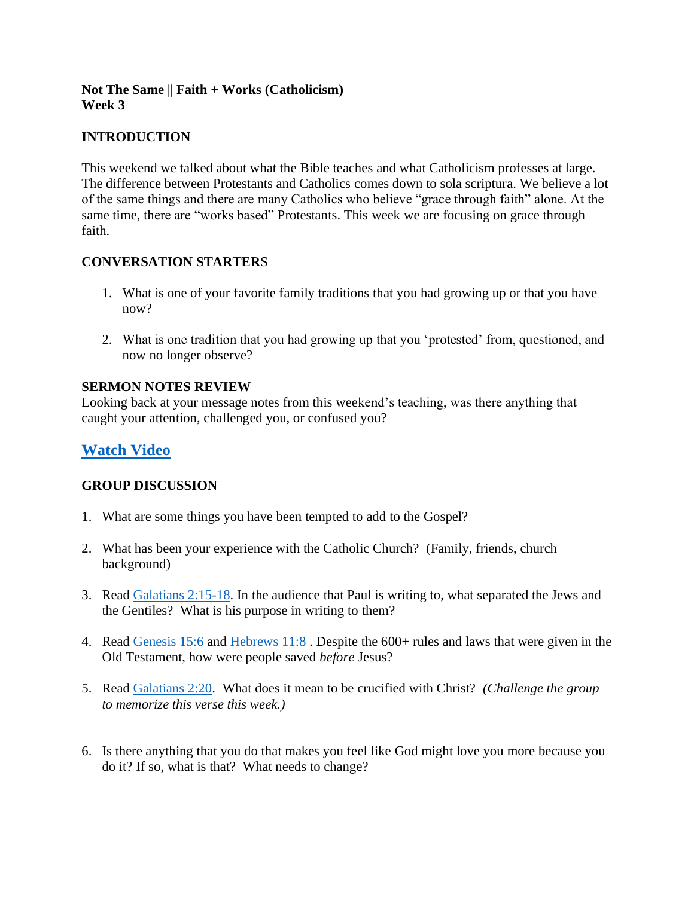### **Not The Same || Faith + Works (Catholicism) Week 3**

## **INTRODUCTION**

This weekend we talked about what the Bible teaches and what Catholicism professes at large. The difference between Protestants and Catholics comes down to sola scriptura. We believe a lot of the same things and there are many Catholics who believe "grace through faith" alone. At the same time, there are "works based" Protestants. This week we are focusing on grace through faith.

## **CONVERSATION STARTER**S

- 1. What is one of your favorite family traditions that you had growing up or that you have now?
- 2. What is one tradition that you had growing up that you 'protested' from, questioned, and now no longer observe?

### **SERMON NOTES REVIEW**

Looking back at your message notes from this weekend's teaching, was there anything that caught your attention, challenged you, or confused you?

# **[Watch Video](https://www.youtube.com/watch?v=o0fdaEB58C0)**

### **GROUP DISCUSSION**

- 1. What are some things you have been tempted to add to the Gospel?
- 2. What has been your experience with the Catholic Church? (Family, friends, church background)
- 3. Read [Galatians 2:15-18.](https://www.biblegateway.com/passage/?search=Galatians+2%3A15-18&version=NIV) In the audience that Paul is writing to, what separated the Jews and the Gentiles? What is his purpose in writing to them?
- 4. Read [Genesis 15:6](https://www.biblegateway.com/passage/?search=Genesis+15%3A6&version=NIV) and [Hebrews 11:8](https://www.biblegateway.com/passage/?search=Hebrews+11%3A8&version=NIV) . Despite the 600+ rules and laws that were given in the Old Testament, how were people saved *before* Jesus?
- 5. Read [Galatians 2:20.](https://www.biblegateway.com/passage/?search=Galatians+2%3A20&version=NIV) What does it mean to be crucified with Christ? *(Challenge the group to memorize this verse this week.)*
- 6. Is there anything that you do that makes you feel like God might love you more because you do it? If so, what is that? What needs to change?